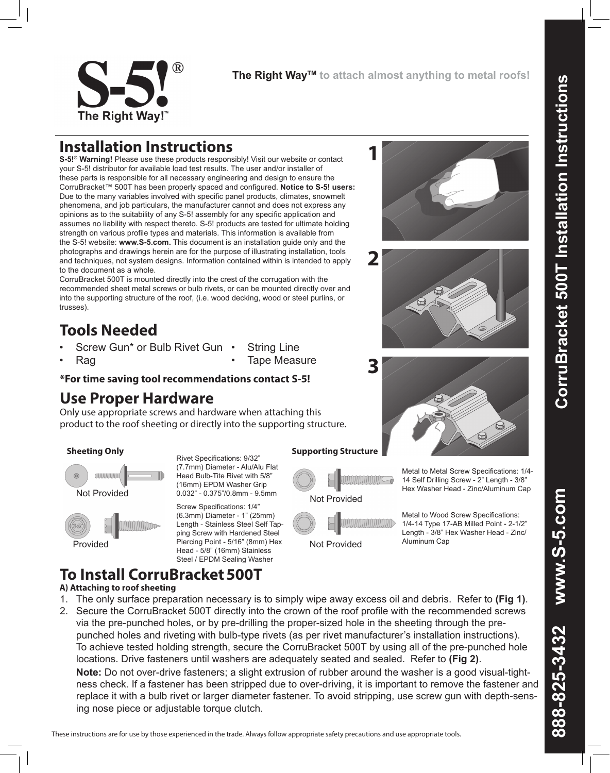

**The Right WayTM to attach almost anything to metal roofs!**

### **Installation Instructions**

**S-5!® Warning!** Please use these products responsibly! Visit our website or contact your S-5! distributor for available load test results. The user and/or installer of these parts is responsible for all necessary engineering and design to ensure the CorruBracket™ 500T has been properly spaced and configured. **Notice to S-5! users:** Due to the many variables involved with specific panel products, climates, snowmelt phenomena, and job particulars, the manufacturer cannot and does not express any opinions as to the suitability of any S-5! assembly for any specific application and assumes no liability with respect thereto. S-5! products are tested for ultimate holding strength on various profile types and materials. This information is available from the S-5! website: **www.S-5.com.** This document is an installation guide only and the photographs and drawings herein are for the purpose of illustrating installation, tools and techniques, not system designs. Information contained within is intended to apply to the document as a whole.

CorruBracket 500T is mounted directly into the crest of the corrugation with the recommended sheet metal screws or bulb rivets, or can be mounted directly over and into the supporting structure of the roof, (i.e. wood decking, wood or steel purlins, or trusses).

## **Tools Needed**

- Screw Gun\* or Bulb Rivet Gun **String Line**
- Rag • Tape Measure

#### **\*For time saving tool recommendations contact S-5!**

### **Use Proper Hardware**

Only use appropriate screws and hardware when attaching this product to the roof sheeting or directly into the supporting structure.

#### **Sheeting Only Supporting Structure**



Rivet Specifications: 9/32" (7.7mm) Diameter - Alu/Alu Flat Head Bulb-Tite Rivet with 5/8" (16mm) EPDM Washer Grip

Provided Piercing Point - 5/16" (8mm) Hex Not Provided Screw Specifications: 1/4" (6.3mm) Diameter - 1" (25mm) Length - Stainless Steel Self Tapping Screw with Hardened Steel Piercing Point - 5/16" (8mm) Hex Head - 5/8" (16mm) Stainless Steel / EPDM Sealing Washer









Metal to Metal Screw Specifications: 1/4-

14 Self Drilling Screw - 2" Length - 3/8" Hex Washer Head - Zinc/Aluminum Cap



Metal to Wood Screw Specifications: 1/4-14 Type 17-AB Milled Point - 2-1/2" Length - 3/8" Hex Washer Head - Zinc/ Aluminum Cap

# **To Install CorruBracket500T**

- **A) Attaching to roof sheeting**
- 1. The only surface preparation necessary is to simply wipe away excess oil and debris. Refer to **(Fig 1)**.
- 2. Secure the CorruBracket 500T directly into the crown of the roof profile with the recommended screws via the pre-punched holes, or by pre-drilling the proper-sized hole in the sheeting through the prepunched holes and riveting with bulb-type rivets (as per rivet manufacturer's installation instructions). To achieve tested holding strength, secure the CorruBracket 500T by using all of the pre-punched hole locations. Drive fasteners until washers are adequately seated and sealed. Refer to **(Fig 2)**. **Note:** Do not over-drive fasteners; a slight extrusion of rubber around the washer is a good visual-tightness check. If a fastener has been stripped due to over-driving, it is important to remove the fastener and replace it with a bulb rivet or larger diameter fastener. To avoid stripping, use screw gun with depth-sensing nose piece or adjustable torque clutch.

These instructions are for use by those experienced in the trade. Always follow appropriate safety precautions and use appropriate tools.

www.S-5.com

888-825-3432